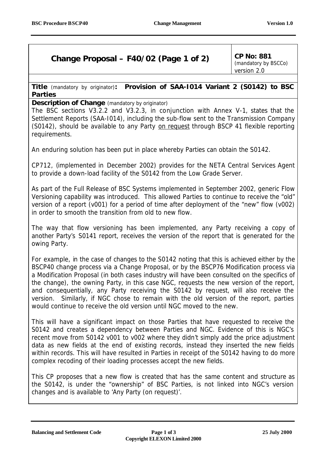# **Change Proposal – F40/02 (Page 1 of 2)**  $\begin{bmatrix} CP & No: 881 \\ CP & No: 881 \end{bmatrix}$

*(mandatory by BSCCo)* version 2.0

**Title** *(mandatory by originator)***: Provision of SAA-I014 Variant 2 (S0142) to BSC Parties**

**Description of Change** *(mandatory by originator)*

The BSC sections V3.2.2 and V3.2.3, in conjunction with Annex V-1, states that the Settlement Reports (SAA-I014), including the sub-flow sent to the Transmission Company (S0142), should be available to any Party on request through BSCP 41 flexible reporting requirements.

An enduring solution has been put in place whereby Parties can obtain the S0142.

CP712, (implemented in December 2002) provides for the NETA Central Services Agent to provide a down-load facility of the S0142 from the Low Grade Server.

As part of the Full Release of BSC Systems implemented in September 2002, generic Flow Versioning capability was introduced. This allowed Parties to continue to receive the "old" version of a report (v001) for a period of time after deployment of the "new" flow (v002) in order to smooth the transition from old to new flow.

The way that flow versioning has been implemented, any Party receiving a copy of another Party's S0141 report, receives the version of the report that is generated for the owing Party.

For example, in the case of changes to the S0142 noting that this is achieved either by the BSCP40 change process via a Change Proposal, or by the BSCP76 Modification process via a Modification Proposal (in both cases industry will have been consulted on the specifics of the change), the owning Party, in this case NGC, requests the new version of the report, and consequentially, any Party receiving the S0142 by request, will also receive the version. Similarly, if NGC chose to remain with the old version of the report, parties would continue to receive the old version until NGC moved to the new.

This will have a significant impact on those Parties that have requested to receive the S0142 and creates a dependency between Parties and NGC. Evidence of this is NGC's recent move from S0142 v001 to v002 where they didn't simply add the price adjustment data as new fields at the end of existing records, instead they inserted the new fields within records. This will have resulted in Parties in receipt of the S0142 having to do more complex recoding of their loading processes accept the new fields.

This CP proposes that a new flow is created that has the same content and structure as the S0142, is under the "ownership" of BSC Parties, is not linked into NGC's version changes and is available to 'Any Party (on request)'.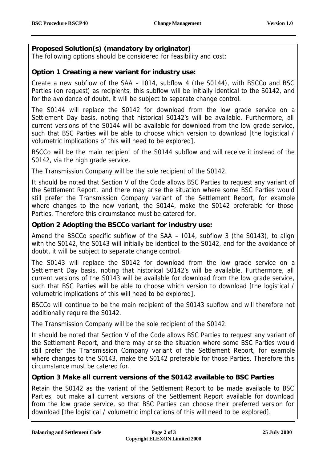## **Proposed Solution(s) (mandatory by originator)**

The following options should be considered for feasibility and cost:

#### **Option 1 Creating a new variant for industry use:**

Create a new subflow of the SAA – I014, subflow 4 (the S0144), with BSCCo and BSC Parties (on request) as recipients, this subflow will be initially identical to the S0142, and for the avoidance of doubt, it will be subject to separate change control.

The S0144 will replace the S0142 for download from the low grade service on a Settlement Day basis, noting that historical S0142's will be available. Furthermore, all current versions of the S0144 will be available for download from the low grade service, such that BSC Parties will be able to choose which version to download [the logistical / volumetric implications of this will need to be explored].

BSCCo will be the main recipient of the S0144 subflow and will receive it instead of the S0142, via the high grade service.

The Transmission Company will be the sole recipient of the S0142.

*It should be noted that Section V of the Code allows BSC Parties to request any variant of the Settlement Report, and there may arise the situation where some BSC Parties would still prefer the Transmission Company variant of the Settlement Report, for example where changes to the new variant, the S0144, make the S0142 preferable for those Parties. Therefore this circumstance must be catered for.*

# **Option 2 Adopting the BSCCo variant for industry use:**

Amend the BSCCo specific subflow of the SAA – I014, subflow 3 (the S0143), to align with the S0142, the S0143 will initially be identical to the S0142, and for the avoidance of doubt, it will be subject to separate change control.

The S0143 will replace the S0142 for download from the low grade service on a Settlement Day basis, noting that historical S0142's will be available. Furthermore, all current versions of the S0143 will be available for download from the low grade service, such that BSC Parties will be able to choose which version to download [the logistical / volumetric implications of this will need to be explored].

BSCCo will continue to be the main recipient of the S0143 subflow and will therefore not additionally require the S0142.

The Transmission Company will be the sole recipient of the S0142.

*It should be noted that Section V of the Code allows BSC Parties to request any variant of the Settlement Report, and there may arise the situation where some BSC Parties would still prefer the Transmission Company variant of the Settlement Report, for example where changes to the S0143, make the S0142 preferable for those Parties. Therefore this circumstance must be catered for.*

### **Option 3 Make all current versions of the S0142 available to BSC Parties**

Retain the S0142 as the variant of the Settlement Report to be made available to BSC Parties, but make all current versions of the Settlement Report available for download from the low grade service, so that BSC Parties can choose their preferred version for download [the logistical / volumetric implications of this will need to be explored].